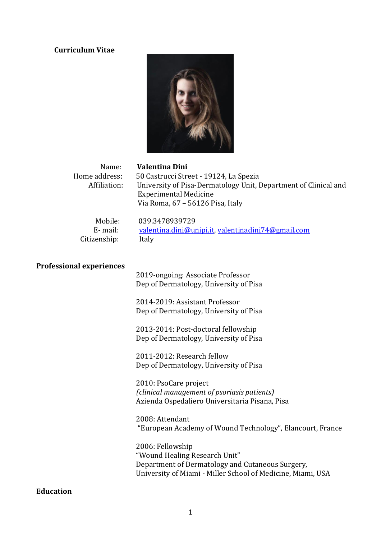# **Curriculum Vitae**



| Name:<br>Home address:<br>Affiliation: | <b>Valentina Dini</b><br>50 Castrucci Street - 19124, La Spezia<br>University of Pisa-Dermatology Unit, Department of Clinical and<br><b>Experimental Medicine</b><br>Via Roma, 67 - 56126 Pisa, Italy                                                                                                                                                                                                                                                        |
|----------------------------------------|---------------------------------------------------------------------------------------------------------------------------------------------------------------------------------------------------------------------------------------------------------------------------------------------------------------------------------------------------------------------------------------------------------------------------------------------------------------|
| Mobile:<br>E-mail:<br>Citizenship:     | 039.3478939729<br>valentina.dini@unipi.it, valentinadini74@gmail.com<br>Italy                                                                                                                                                                                                                                                                                                                                                                                 |
| <b>Professional experiences</b>        | 2019-ongoing: Associate Professor<br>Dep of Dermatology, University of Pisa<br>2014-2019: Assistant Professor<br>Dep of Dermatology, University of Pisa<br>2013-2014: Post-doctoral fellowship<br>Dep of Dermatology, University of Pisa<br>2011-2012: Research fellow<br>Dep of Dermatology, University of Pisa<br>2010: PsoCare project<br>(clinical management of psoriasis patients)<br>Azienda Ospedaliero Universitaria Pisana, Pisa<br>2008: Attendant |
|                                        | "European Academy of Wound Technology", Elancourt, France<br>2006: Fellowship<br>"Wound Healing Research Unit"<br>Department of Dermatology and Cutaneous Surgery,                                                                                                                                                                                                                                                                                            |

**Education**

University of Miami - Miller School of Medicine, Miami, USA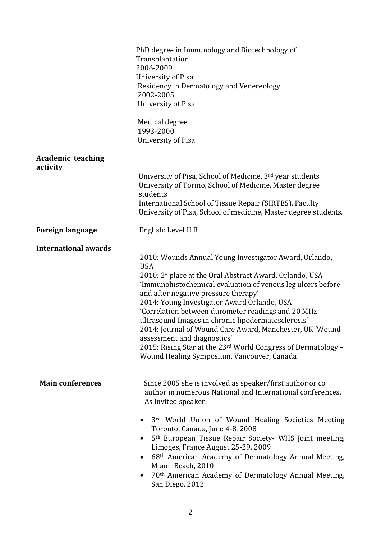|                                      | PhD degree in Immunology and Biotechnology of<br>Transplantation<br>2006-2009<br>University of Pisa<br>Residency in Dermatology and Venereology<br>2002-2005<br><b>University of Pisa</b><br>Medical degree<br>1993-2000<br><b>University of Pisa</b>                                                                                                                                                                                                                                                                                                                                                       |
|--------------------------------------|-------------------------------------------------------------------------------------------------------------------------------------------------------------------------------------------------------------------------------------------------------------------------------------------------------------------------------------------------------------------------------------------------------------------------------------------------------------------------------------------------------------------------------------------------------------------------------------------------------------|
| <b>Academic teaching</b><br>activity | University of Pisa, School of Medicine, 3rd year students<br>University of Torino, School of Medicine, Master degree<br>students<br>International School of Tissue Repair (SIRTES), Faculty<br>University of Pisa, School of medicine, Master degree students.                                                                                                                                                                                                                                                                                                                                              |
| <b>Foreign language</b>              | English: Level II B                                                                                                                                                                                                                                                                                                                                                                                                                                                                                                                                                                                         |
| <b>International awards</b>          | 2010: Wounds Annual Young Investigator Award, Orlando,<br><b>USA</b><br>2010: 2° place at the Oral Abstract Award, Orlando, USA<br>'Immunohistochemical evaluation of venous leg ulcers before<br>and after negative pressure therapy'<br>2014: Young Investigator Award Orlando, USA<br>'Correlation between durometer readings and 20 MHz<br>ultrasound Images in chronic lipodermatosclerosis'<br>2014: Journal of Wound Care Award, Manchester, UK 'Wound<br>assessment and diagnostics'<br>2015: Rising Star at the 23rd World Congress of Dermatology -<br>Wound Healing Symposium, Vancouver, Canada |
| <b>Main conferences</b>              | Since 2005 she is involved as speaker/first author or co<br>author in numerous National and International conferences.<br>As invited speaker:<br>3rd World Union of Wound Healing Societies Meeting<br>Toronto, Canada, June 4-8, 2008<br>5 <sup>th</sup> European Tissue Repair Society- WHS Joint meeting,<br>$\bullet$<br>Limoges, France August 25-29, 2009<br>68th American Academy of Dermatology Annual Meeting,<br>$\bullet$<br>Miami Beach, 2010<br>70th American Academy of Dermatology Annual Meeting,<br>San Diego, 2012                                                                        |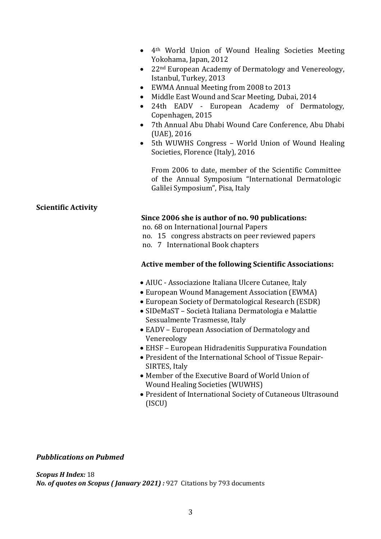- 4th World Union of Wound Healing Societies Meeting Yokohama, Japan, 2012
- 22<sup>nd</sup> European Academy of Dermatology and Venereology, Istanbul, Turkey, 2013
- EWMA Annual Meeting from 2008 to 2013
- Middle East Wound and Scar Meeting, Dubai, 2014
- 24th EADV European Academy of Dermatology, Copenhagen, 2015
- 7th Annual Abu Dhabi Wound Care Conference, Abu Dhabi (UAE), 2016
- 5th WUWHS Congress World Union of Wound Healing Societies, Florence (Italy), 2016

From 2006 to date, member of the Scientific Committee of the Annual Symposium "International Dermatologic Galilei Symposium", Pisa, Italy

## **Scientific Activity**

### **Since 2006 she is author of no. 90 publications:**

no. 68 on International Journal Papers

- no. 15 congress abstracts on peer reviewed papers
- no. 7 International Book chapters

#### **Active member of the following Scientific Associations:**

- AIUC Associazione Italiana Ulcere Cutanee, Italy
- European Wound Management Association (EWMA)
- European Society of Dermatological Research (ESDR)
- SIDeMaST Società Italiana Dermatologia e Malattie Sessualmente Trasmesse, Italy
- EADV European Association of Dermatology and Venereology
- EHSF European Hidradenitis Suppurativa Foundation
- President of the International School of Tissue Repair-SIRTES, Italy
- Member of the Executive Board of World Union of Wound Healing Societies (WUWHS)
- President of International Society of Cutaneous Ultrasound (ISCU)

#### *Pubblications on Pubmed*

*Scopus H Index:* 18 *No. of quotes on Scopus ( January 2021) :* 927 Citations by 793 documents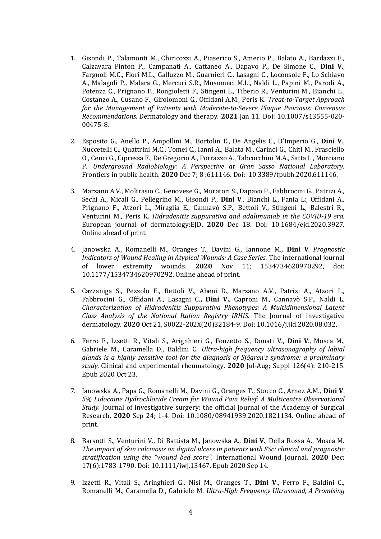- 1. Gisondi P., Talamonti M., Chiricozzi A., Piaserico S., Amerio P., Balato A., Bardazzi F., Calzavara Pinton P., Campanati A., Cattaneo A., Dapavo P., De Simone C., **Dini V**., Fargnoli M.C., Flori M.L., Galluzzo M., Guarnieri C., Lasagni C., Loconsole F., Lo Schiavo A., Malagoli P., Malara G., Mercuri S.R., Musumeci M.L., Naldi L., Papini M., Parodi A., Potenza C., Prignano F., Rongioletti F., Stingeni L., Tiberio R., Venturini M., Bianchi L., Costanzo A., Cusano F., Girolomoni G., Offidani A.M., Peris K. *Treat-to-Target Approach for the Management of Patients with Moderate-to-Severe Plaque Psoriasis: Consensus Recommendations.* Dermatology and therapy. **2021** Jan 11. Doi: 10.1007/s13555-020- 00475-8.
- 2. Esposito G., Anello P., Ampollini M., Bortolin E., De Angelis C., D'Imperio G., **Dini V**., Nuccetelli C., Quattrini M.C., Tomei C., Ianni A., Balata M., Carinci G., Chiti M., Frasciello O., Cenci G., Cipressa F., De Gregorio A., Porrazzo A., Tabcocchini M.A., Satta L., Morciano P. *Underground Radiobiology: A Perspective at Gran Sasso National Laboratory.* Frontiers in public health. **2020** Dec 7; 8 :611146. Doi: 10.3389/fpubh.2020.611146.
- 3. Marzano A.V., Moltrasio C., Genovese G., Muratori S., Dapavo P., Fabbrocini G., Patrizi A., Sechi A., Micali G., Pellegrino M., Gisondi P., **Dini V**., Bianchi L., Fania L:, Offidani A., Prignano F., Atzori L., Miraglia E., Cannavò S.P., Bettoli V., Stingeni L., Balestri R., Venturini M., Peris K. *Hidradenitis suppurativa and adalimumab in the COVID-19 era.*  European journal of dermatology:EJD**. 2020** Dec 18. Doi: 10.1684/ejd.2020.3927. Online ahead of print.
- 4. Janowska A., Romanelli M., Oranges T., Davini G., Iannone M., **Dini V***. Prognostic Indicators of Wound Healing in Atypical Wounds: A Case Series.* The international journal of lower extremity wounds. **2020** Nov 11; 1534734620970292, doi: 10.1177/1534734620970292. Online ahead of print.
- 5. Cazzaniga S., Pezzolo E., Bettoli V., Abeni D., Marzano A.V., Patrizi A., Atzori L., Fabbrocini G., Offidani A., Lasagni C.**, Dini V.**, Caproni M., Cannavò S.P., Naldi L. *Characterization of Hidradenitis Suppurativa Phenotypes: A Multidimensional Latent Class Analysis of the National Italian Registry IRHIS.* The Journal of investigative dermatology. **2020** Oct 21, S0022-202X(20)32184-9. Doi: 10.1016/j.jid.2020.08.032.
- 6. Ferro F., Izzetti R., Vitali S., Arignhieri G., Fonzetto S., Donati V., **Dini V**., Mosca M., Gabriele M., Caramella D., Baldini C. *Ultra-high frequency ultrasonography of labial glands is a highly sensitive tool for the diagnosis of Sjögren's syndrome: a preliminary study.* Clinical and experimental rheumatology. **2020** Jul-Aug; Suppl 126(4): 210-215. Epub 2020 Oct 23.
- 7. Janowska A., Papa G., Romanelli M., Davini G., Oranges T., Stocco C., Arnez A.M., **Dini V**. *5% Lidocaine Hydrochloride Cream for Wound Pain Relief: A Multicentre Observational Study.* Journal of investigative surgery: the official journal of the Academy of Surgical Research. **2020** Sep 24; 1-4. Doi: 10.1080/08941939.2020.1821134. Online ahead of print.
- 8. Barsotti S., Venturini V., Di Battista M., Janowska A., **Dini V**., Della Rossa A., Mosca M. *The impact of skin calcinosis on digital ulcers in patients with SSc: clinical and prognostic stratification using the "wound bed score".* International Wound Journal. **2020** Dec; 17(6):1783-1790. Doi: 10.1111/iwj.13467. Epub 2020 Sep 14.
- 9. Izzetti R., Vitali S., Aringhieri G., Nisi M., Oranges T., **Dini V**., Ferro F., Baldini C., Romanelli M., Caramella D., Gabriele M. *Ultra-High Frequency Ultrasound, A Promising*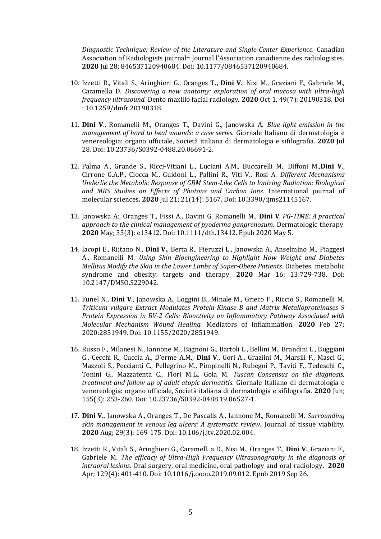*Diagnostic Technique: Review of the Literature and Single-Center Experience.* Canadian Association of Radiologists journal= Journal l'Association canadienne des radiologistes. **2020** Jul 28; 846537120940684. Doi: 10.1177/0846537120940684.

- 10. Izzetti R., Vitali S., Aringhieri G., Oranges T**., Dini V**., Nisi M., Graziani F., Gabriele M., Caramella D. *Discovering a new anatomy: exploration of oral mucosa with ultra-high frequency ultrasound.* Dento maxillo facial radiology. **2020** Oct 1, 49(7): 20190318. Doi : 10.1259/dmfr.20190318.
- 11. **Dini V**., Romanelli M., Oranges T., Davini G., Janowska A. *Blue light emission in the management of hard to heal wounds: a case series.* Giornale Italiano di dermatologia e venereologia: organo ufficiale, Società italiana di dermatologia e sifilografia. **2020** Jul 28. Doi: 10.23736/S0392-0488.20.06691-2.
- 12. Palma A., Grande S., Ricci-Vitiani L., Luciani A.M., Buccarelli M., Biffoni M.,**Dini V**., Cirrone G.A.P., Ciocca M., Guidoni L., Pallini R., Viti V., Rosi A. *Different Mechanisms Underlie the Metabolic Response of GBM Stem-Like Cells to Ionizing Radiation: Biological and MRS Studies on Effects of Photons and Carbon Ions.* International journal of molecular sciences**. 2020** Jul 21; 21(14): 5167. Doi: 10.3390/ijms21145167.
- 13. Janowska A:, Oranges T., Fissi A., Davini G. Romanelli M., **Dini V***. PG-TIME: A practical approach to the clinical management of pyoderma gangrenosum.* Dermatologic therapy. **2020** May; 33(3): e13412. Doi: 10.1111/dth.13412. Epub 2020 May 5.
- 14. Iacopi E., Riitano N., **Dini V.**, Berta R., Pieruzzi L., Janowska A., Anselmino M., Piaggesi A., Romanelli M. *Using Skin Bioengineering to Highlight How Weight and Diabetes Mellitus Modify the Skin in the Lower Limbs of Super-Obese Patients.* Diabetes, metabolic syndrome and obesity: targets and therapy. **2020** Mar 16; 13:729-738. Doi: 10.2147/DMSO.S229042.
- 15. Funel N., **Dini V**., Janowska A., Loggini B., Minale M., Grieco F., Riccio S., Romanelli M. *Triticum vulgare Extract Modulates Protein-Kinase B and Matrix Metalloproteinases 9 Protein Expression in BV-2 Cells: Bioactivity on Inflammatory Pathway Associated with Molecular Mechanism Wound Healing.* Mediators of inflammation. **2020** Feb 27; 2020:2851949. Doi: 10.1155/2020/2851949.
- 16. Russo F., Milanesi N., Iannone M., Bagnoni G., Bartoli L., Bellini M., Brandini L., Buggiani G., Cecchi R., Cuccia A., D'erme A.M., **Dini V**., Gori A., Graziini M., Marsili F., Masci G., Mazzoli S., Peccianti C., Pellegrino M., Pimpinelli N., Rubegni P., Taviti F., Tedeschi C., Tonini G., Mazzatenta C., Flori M.L., Gola M. *Tuscan Consensus on the diagnosis, treatment and follow up of adult atopic dermatitis*. Giornale Italiano di dermatologia e venereologia: organo ufficiale, Società italiana di dermatologia e sifilografia. **2020** Jun; 155(3): 253-260. Doi: 10.23736/S0392-0488.19.06527-1.
- 17. **Dini V.**, Janowska A., Oranges T., De Pascalis A., Iannone M., Romanelli M. *Surrounding skin management in venous leg ulcers: A systematic review.* Journal of tissue viability. **2020** Aug; 29(3): 169-175. Doi: 10.106/j.jtv.2020.02.004.
- 18. Izzetti R., Vitali S., Aringhieri G., Caramell. a D., Nisi M., Oranges T., **Dini V**., Graziani F., Gabriele M. *The efficacy of Ultra-High Frequency Ultrasonography in the diagnosis of intraoral lesions.* Oral surgery, oral medicine, oral pathology and oral radiology**. 2020** Apr; 129(4): 401-410. Doi: 10.1016/j.oooo.2019.09.012. Epub 2019 Sep 26.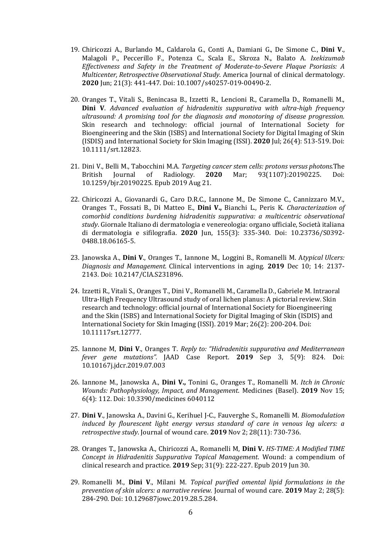- 19. Chiricozzi A., Burlando M., Caldarola G., Conti A., Damiani G., De Simone C., **Dini V**., Malagoli P., Peccerillo F., Potenza C., Scala E., Skroza N., Balato A. *Ixekizumab Effectiveness and Safety in the Treatment of Moderate-to-Severe Plaque Psoriasis: A Multicenter, Retrospective Observational Study*. America Journal of clinical dermatology. **2020** Jun; 21(3): 441-447. Doi: 10.1007/s40257-019-00490-2.
- 20. Oranges T., Vitali S., Benincasa B., Izzetti R., Lencioni R., Caramella D., Romanelli M., **Dini V**. *Advanced evaluation of hidradenitis suppurativa with ultra-high frequency ultrasound: A promising tool for the diagnosis and monotoring of disease progression.* Skin research and technology: official journal of International Society for Bioengineering and the Skin (ISBS) and International Society for Digital Imaging of Skin (ISDIS) and International Society for Skin Imaging (ISSI). **2020** Jul; 26(4): 513-519. Doi: 10.1111/srt.12823.
- 21. Dini V., Belli M., Tabocchini M.A. *Targeting cancer stem cells: protons versus photons.*The British Journal of Radiology*.* **2020** Mar; 93(1107):20190225. Doi: 10.1259/bjr.20190225. Epub 2019 Aug 21.
- 22. Chiricozzi A., Giovanardi G., Caro D.R.C., Iannone M., De Simone C., Cannizzaro M.V., Oranges T., Fossati B., Di Matteo E., **Dini V.,** Bianchi L., Peris K. *Characterization of comorbid conditions burdening hidradenitis suppurativa: a multicentric observational study*. Giornale Italiano di dermatologia e venereologia: organo ufficiale, Società italiana di dermatologia e sifilografia. **2020** Jun, 155(3): 335-340. Doi: 10.23736/S0392- 0488.18.06165-5.
- 23. Janowska A., **Dini V**., Oranges T., Iannone M., Loggini B., Romanelli M. A*typical Ulcers: Diagnosis and Management.* Clinical interventions in aging. **2019** Dec 10; 14: 2137- 2143. Doi: 10.2147/CIA.S231896.
- 24. Izzetti R., Vitali S., Oranges T., Dini V., Romanelli M., Caramella D., Gabriele M. Intraoral Ultra-High Frequency Ultrasound study of oral lichen planus: A pictorial review. Skin research and technology: official journal of International Society for Bioengineering and the Skin (ISBS) and International Society for Digital Imaging of Skin (ISDIS) and International Society for Skin Imaging (ISSI). 2019 Mar; 26(2): 200-204. Doi: 10.11117srt.12777.
- 25. Iannone M, **Dini V**., Oranges T. *Reply to: "Hidradenitis suppurativa and Mediterranean fever gene mutations".* JAAD Case Report. **2019** Sep 3, 5(9): 824. Doi: 10.10167j.jdcr.2019.07.003
- 26. Iannone M., Janowska A., **Dini V.,** Tonini G., Oranges T., Romanelli M. *Itch in Chronic Wounds: Pathophysiology, Impact, and Management*. Medicines (Basel). **2019** Nov 15; 6(4): 112. Doi: 10.3390/medicines 6040112
- 27. **Dini V**., Janowska A., Davini G., Kerihuel J-C., Fauverghe S., Romanelli M. *Biomodulation induced by flourescent light energy versus standard of care in venous leg ulcers: a retrospective study*. Journal of wound care. **2019** Nov 2; 28(11): 730-736.
- 28. Oranges T., Janowska A., Chiricozzi A., Romanelli M, **Dini V.** *HS-TIME: A Modified TIME Concept in Hidradenitis Suppurativa Topical Management*. Wound: a compendium of clinical research and practice. **2019** Sep; 31(9): 222-227. Epub 2019 Jun 30.
- 29. Romanelli M., **Dini V**., Milani M. *Topical purified omental lipid formulations in the prevention of skin ulcers: a narrative review.* Journal of wound care. **2019** May 2; 28(5): 284-290. Doi: 10.129687jowc.2019.28.5.284.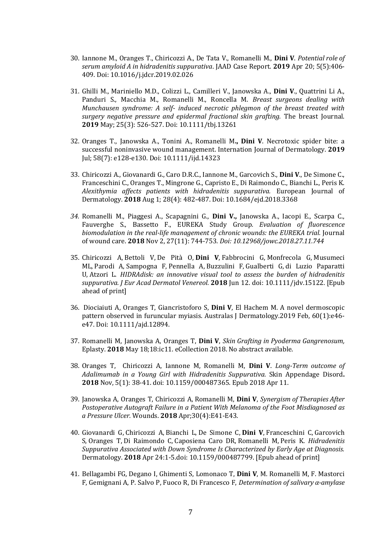- 30. Iannone M., Oranges T., Chiricozzi A., De Tata V., Romanelli M., **Dini V**. *Potential role of serum amyloid A in hidradenitis suppurativa*. JAAD Case Report. **2019** Apr 20; 5(5):406- 409. Doi: 10.1016/j.jdcr.2019.02.026
- 31. Ghilli M., Mariniello M.D., Colizzi L., Camilleri V., Janowska A., **Dini V**., Quattrini Li A., Panduri S., Macchia M., Romanelli M., Roncella M. *Breast surgeons dealing with Munchausen syndrome: A self- induced necrotic phlegmon of the breast treated with surgery negative pressure and epidermal fractional skin grafting.* The breast Journal. **2019** May; 25(3): 526-527. Doi: 10.1111/tbj.13261
- 32. Oranges T., Janowska A., Tonini A., Romanelli M**., Dini V**. Necrotoxic spider bite: a successful noninvasive wound management. Internation Journal of Dermatology. **2019** Jul; 58(7): e128-e130. Doi: 10.1111/ijd.14323
- 33. Chiricozzi A., Giovanardi G., Caro D.R.C., Iannone M., Garcovich S., **Dini V**., De Simone C., Franceschini C., Oranges T., Mingrone G., Capristo E., Di Raimondo C., Bianchi L., Peris K. *Alexithymia affects patients with hidradenitis suppurativa.* European Journal of Dermatology. **2018** Aug 1; 28(4): 482-487. Doi: 10.1684/ejd.2018.3368
- *34.* Romanelli M., Piaggesi A., Scapagnini G., **Dini V.,** Janowska A., Iacopi E., Scarpa C., Fauverghe S., Bassetto F., EUREKA Study Group*. Evaluation of fluorescence biomodulation in the real-life management of chronic wounds: the EUREKA trial.* Journal of wound care. **2018** Nov 2, 27(11): 744-753*. Doi: 10.12968/jowc.2018.27.11.744*
- 35. [Chiricozzi A,](https://www.ncbi.nlm.nih.gov/pubmed/?term=Chiricozzi%20A%5BAuthor%5D&cauthor=true&cauthor_uid=29894009) [Bettoli V,](https://www.ncbi.nlm.nih.gov/pubmed/?term=Bettoli%20V%5BAuthor%5D&cauthor=true&cauthor_uid=29894009) [De Pità O,](https://www.ncbi.nlm.nih.gov/pubmed/?term=De%20Pit%C3%A0%20O%5BAuthor%5D&cauthor=true&cauthor_uid=29894009) **[Dini V](https://www.ncbi.nlm.nih.gov/pubmed/?term=Dini%20V%5BAuthor%5D&cauthor=true&cauthor_uid=29894009)**, [Fabbrocini G,](https://www.ncbi.nlm.nih.gov/pubmed/?term=Fabbrocini%20G%5BAuthor%5D&cauthor=true&cauthor_uid=29894009) [Monfrecola G,](https://www.ncbi.nlm.nih.gov/pubmed/?term=Monfrecola%20G%5BAuthor%5D&cauthor=true&cauthor_uid=29894009) [Musumeci](https://www.ncbi.nlm.nih.gov/pubmed/?term=Musumeci%20ML%5BAuthor%5D&cauthor=true&cauthor_uid=29894009)  [ML,](https://www.ncbi.nlm.nih.gov/pubmed/?term=Musumeci%20ML%5BAuthor%5D&cauthor=true&cauthor_uid=29894009) [Parodi A,](https://www.ncbi.nlm.nih.gov/pubmed/?term=Parodi%20A%5BAuthor%5D&cauthor=true&cauthor_uid=29894009) [Sampogna F,](https://www.ncbi.nlm.nih.gov/pubmed/?term=Sampogna%20F%5BAuthor%5D&cauthor=true&cauthor_uid=29894009) [Pennella A,](https://www.ncbi.nlm.nih.gov/pubmed/?term=Pennella%20A%5BAuthor%5D&cauthor=true&cauthor_uid=29894009) [Buzzulini F,](https://www.ncbi.nlm.nih.gov/pubmed/?term=Buzzulini%20F%5BAuthor%5D&cauthor=true&cauthor_uid=29894009) [Gualberti G,](https://www.ncbi.nlm.nih.gov/pubmed/?term=Gualberti%20G%5BAuthor%5D&cauthor=true&cauthor_uid=29894009) [di Luzio Paparatti](https://www.ncbi.nlm.nih.gov/pubmed/?term=di%20Luzio%20Paparatti%20U%5BAuthor%5D&cauthor=true&cauthor_uid=29894009)  [U,](https://www.ncbi.nlm.nih.gov/pubmed/?term=di%20Luzio%20Paparatti%20U%5BAuthor%5D&cauthor=true&cauthor_uid=29894009) [Atzori L.](https://www.ncbi.nlm.nih.gov/pubmed/?term=Atzori%20L%5BAuthor%5D&cauthor=true&cauthor_uid=29894009) *HIDRAdisk: an innovative visual tool to assess the burden of hidradenitis suppurativa. [J Eur Acad Dermatol Venereol.](https://www.ncbi.nlm.nih.gov/pubmed/29894009)* **2018** Jun 12. doi: 10.1111/jdv.15122. [Epub ahead of print]
- 36. Diociaiuti A, Oranges T, Giancristoforo S, **Dini V**, El Hachem M. A novel dermoscopic pattern observed in furuncular myiasis. Australas J Dermatology.2019 Feb, 60(1):e46 e47. Doi: 10.1111/ajd.12894.
- 37. Romanelli M, Janowska A, Oranges T, **Dini V**, *Skin Grafting in Pyoderma Gangrenosum,* Eplasty. **2018** May 18;18:ic11. eCollection 2018. No abstract available.
- 38. Oranges T, Chiricozzi A, Iannone M, Romanelli M, **Dini V**. *Long-Term outcome of Adalimumab in a Young Girl with Hidradenitis Suppurativa.* Skin Appendage Disord**. 2018** Nov, 5(1): 38-41. doi: 10.1159/000487365. Epub 2018 Apr 11.
- 39. Janowska A, Oranges T, Chiricozzi A, Romanelli M, **Dini V**, *[Synergism of Therapies After](https://www.ncbi.nlm.nih.gov/pubmed/29718821)  [Postoperative Autograft Failure in a Patient With Melanoma of the Foot Misdiagnosed as](https://www.ncbi.nlm.nih.gov/pubmed/29718821)  [a Pressure Ulcer.](https://www.ncbi.nlm.nih.gov/pubmed/29718821)* Wounds. **2018** Apr;30(4):E41-E43.
- 40. [Giovanardi G,](https://www.ncbi.nlm.nih.gov/pubmed/?term=Giovanardi%20G%5BAuthor%5D&cauthor=true&cauthor_uid=29689550) [Chiricozzi A,](https://www.ncbi.nlm.nih.gov/pubmed/?term=Chiricozzi%20A%5BAuthor%5D&cauthor=true&cauthor_uid=29689550) [Bianchi L,](https://www.ncbi.nlm.nih.gov/pubmed/?term=Bianchi%20L%5BAuthor%5D&cauthor=true&cauthor_uid=29689550) [De Simone C,](https://www.ncbi.nlm.nih.gov/pubmed/?term=De%20Simone%20C%5BAuthor%5D&cauthor=true&cauthor_uid=29689550) **[Dini V](https://www.ncbi.nlm.nih.gov/pubmed/?term=Dini%20V%5BAuthor%5D&cauthor=true&cauthor_uid=29689550)**, [Franceschini C,](https://www.ncbi.nlm.nih.gov/pubmed/?term=Franceschini%20C%5BAuthor%5D&cauthor=true&cauthor_uid=29689550) [Garcovich](https://www.ncbi.nlm.nih.gov/pubmed/?term=Garcovich%20S%5BAuthor%5D&cauthor=true&cauthor_uid=29689550)  [S,](https://www.ncbi.nlm.nih.gov/pubmed/?term=Garcovich%20S%5BAuthor%5D&cauthor=true&cauthor_uid=29689550) [Oranges T,](https://www.ncbi.nlm.nih.gov/pubmed/?term=Oranges%20T%5BAuthor%5D&cauthor=true&cauthor_uid=29689550) [Di Raimondo C,](https://www.ncbi.nlm.nih.gov/pubmed/?term=Di%20Raimondo%20C%5BAuthor%5D&cauthor=true&cauthor_uid=29689550) [Caposiena Caro DR,](https://www.ncbi.nlm.nih.gov/pubmed/?term=Caposiena%20Caro%20DR%5BAuthor%5D&cauthor=true&cauthor_uid=29689550) [Romanelli M,](https://www.ncbi.nlm.nih.gov/pubmed/?term=Romanelli%20M%5BAuthor%5D&cauthor=true&cauthor_uid=29689550) [Peris K.](https://www.ncbi.nlm.nih.gov/pubmed/?term=Peris%20K%5BAuthor%5D&cauthor=true&cauthor_uid=29689550) *Hidradenitis Suppurativa Associated with Down Syndrome Is Characterized by Early Age at Diagnosis.*  Dermatology. **2018** Apr 24:1-5.doi: 10.1159/000487799. [Epub ahead of print]
- 41. Bellagambi FG, Degano I, Ghimenti S, Lomonaco T, **Dini V**, M. Romanelli M, F. Mastorci F, Gemignani A, P. Salvo P, Fuoco R, Di Francesco F, *Determination of salivary α-amylase*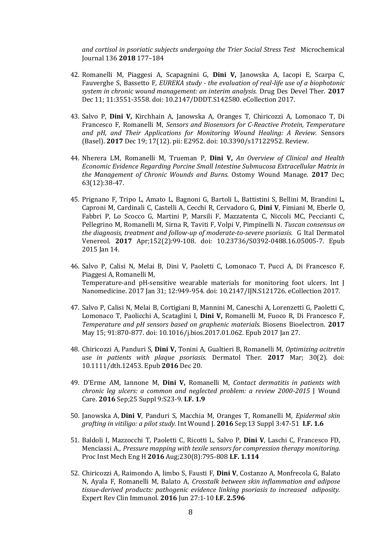*and cortisol in psoriatic subjects undergoing the Trier Social Stress Test* Microchemical Journal 136 **2018** 177–184

- 42. Romanelli M, Piaggesi A, Scapagnini G, **Dini V,** Janowska A, Iacopi E, Scarpa C, Fauverghe S, Bassetto F*, EUREKA study - the evaluation of real-life use of a biophotonic system in chronic wound management: an interim analysis.* Drug Des Devel Ther. **2017** Dec 11; 11:3551-3558. doi: 10.2147/DDDT.S142580. eCollection 2017.
- 43. Salvo P, **Dini V,** Kirchhain A, Janowska A, Oranges T, Chiricozzi A, Lomonaco T, Di Francesco F, Romanelli M, *Sensors and Biosensors for C-Reactive Protein, Temperature and pH, and Their Applications for Monitoring Wound Healing: A Review.* Sensors (Basel). **2017** Dec 19; 17(12). pii: E2952. doi: 10.3390/s17122952. Review.
- 44. Nherera LM, Romanelli M, Trueman P, **Dini V,** *An Overview of Clinical and Health Economic Evidence Regarding Porcine Small Intestine Submucosa Extracellular Matrix in the Management of Chronic Wounds and Burns.* Ostomy Wound Manage. **2017** Dec; 63(12):38-47.
- 45. Prignano F, Tripo L, Amato L, Bagnoni G, Bartoli L, Battistini S, Bellini M, Brandini L, Caproni M, Cardinali C, Castelli A, Cecchi R, Cervadoro G, **Dini V**, Fimiani M, Eberle O, Fabbri P, Lo Scocco G, Martini P, Marsili F, Mazzatenta C, Niccoli MC, Peccianti C, Pellegrino M, Romanelli M, Sirna R, Taviti F, Volpi V, Pimpinelli N. *Tuscan consensus on the diagnosis, treatment and follow-up of moderate-to-severe psoriasis.* G Ital Dermatol Venereol. **2017** Apr;152(2):99-108. doi: 10.23736/S0392-0488.16.05005-7. Epub 2015 Jan 14.
- 46. Salvo P, Calisi N, Melai B, Dini V, Paoletti C, Lomonaco T, Pucci A, Di Francesco F, Piaggesi A, Romanelli M, Temperature-and pH-sensitive wearable materials for monitoring foot ulcers. Int J Nanomedicine. 2017 Jan 31; 12:949-954. doi: 10.2147/IJN.S121726. eCollection 2017.
- 47. Salvo P, Calisi N, Melai B, Cortigiani B, Mannini M, Caneschi A, Lorenzetti G, Paoletti C, Lomonaco T, Paolicchi A, Scataglini I, **Dini V,** Romanelli M, Fuoco R, Di Francesco F, *Temperature and pH sensors based on graphenic materials.* Biosens Bioelectron. **2017** May 15; 91:870-877. doi: 10.1016/j.bios.2017.01.062. Epub 2017 Jan 27.
- 48. Chiricozzi A, Panduri S, **Dini V,** Tonini A, Gualtieri B, Romanelli M, *Optimizing acitretin use in patients with plaque psoriasis.* Dermatol Ther. **2017** Mar; 30(2). doi: 10.1111/dth.12453. Epub **2016** Dec 20.
- 49. D'Erme AM, Iannone M, **Dini V,** Romanelli M, *Contact dermatitis in patients with chronic leg ulcers: a common and neglected problem: a review 2000-2015* J Wound Care. **2016** Sep;25 Suppl 9:S23-9. **I.F. 1.9**
- 50. Janowska A, **Dini V**, Panduri S, Macchia M, Oranges T, Romanelli M, *Epidermal skin grafting in vitiligo: a pilot study.* Int Wound J. **2016** Sep;13 Suppl 3:47-51 **I.F. 1.6**
- 51. Baldoli I, Mazzocchi T, Paoletti C, Ricotti L, Salvo P, **Dini V**, Laschi C, Francesco FD, Menciassi A., *Pressure mapping with texile sensors for compression therapy monitoring.* Proc Inst Mech Eng H **2016** Aug;230(8):795-808 **I.F. 1.114**
- 52. Chiricozzi A, Raimondo A, limbo S, Fausti F, **Dini V**, Costanzo A, Monfrecola G, Balato N, Ayala F, Romanelli M, Balato A, *Crosstalk between skin inflammation and adipose tissue-derived products: pathogenic evidence linking psoriasis to increased adiposity.*  Expert Rev Clin Immunol. **2016** Jun 27:1-10 **I.F. 2.596**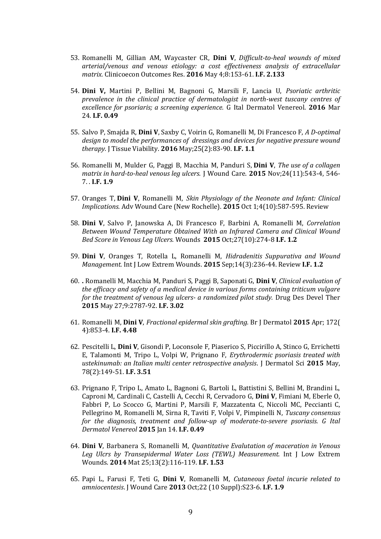- 53. Romanelli M, Gillian AM, Waycaster CR, **Dini V**, *Difficult-to-heal wounds of mixed arterial/venous and venous etiology: a cost effectiveness analysis of extracellular matrix.* Clinicoecon Outcomes Res. **2016** May 4;8:153-61. **I.F. 2.133**
- 54. **Dini V,** Martini P, Bellini M, Bagnoni G, Marsili F, Lancia U, *Psoriatic arthritic prevalence in the clinical practice of dermatologist in north-west tuscany centres of excellence for psoriaris; a screening experience.* G Ital Dermatol Venereol. **2016** Mar 24. **I.F. 0.49**
- 55. Salvo P, Smajda R, **Dini V**, Saxby C, Voirin G, Romanelli M, Di Francesco F, *[A D-optimal](https://www.ncbi.nlm.nih.gov/pubmed/26818777)  [design to model the performances of dressings and devices for negative pressure wound](https://www.ncbi.nlm.nih.gov/pubmed/26818777)  [therapy.](https://www.ncbi.nlm.nih.gov/pubmed/26818777)* J Tissue Viability. **2016** May;25(2):83-90. **I.F. 1.1**
- 56. Romanelli M, Mulder G, Paggi B, Macchia M, Panduri S, **Dini V**, *[The use of a collagen](https://www.ncbi.nlm.nih.gov/pubmed/26551647)  [matrix in hard-to-heal venous leg ulcers.](https://www.ncbi.nlm.nih.gov/pubmed/26551647)* J Wound Care. **2015** Nov;24(11):543-4, 546- 7. . **I.F. 1.9**
- 57. Oranges T, **Dini V**, Romanelli M, *[Skin Physiology of the Neonate and Infant: Clinical](https://www.ncbi.nlm.nih.gov/pubmed/26487977)  [Implications.](https://www.ncbi.nlm.nih.gov/pubmed/26487977)* Adv Wound Care (New Rochelle). **2015** Oct 1;4(10):587-595. Review
- 58. **Dini V**, Salvo P, Janowska A, Di Francesco F, Barbini A, Romanelli M, *[Correlation](https://www.ncbi.nlm.nih.gov/pubmed/26479211)  [Between Wound Temperature Obtained With an Infrared Camera and Clinical Wound](https://www.ncbi.nlm.nih.gov/pubmed/26479211)  [Bed Score in Venous Leg Ulcers.](https://www.ncbi.nlm.nih.gov/pubmed/26479211)* Wounds **2015** Oct;27(10):274-8 **I.F. 1.2**
- 59. **Dini V**, Oranges T, Rotella L, Romanelli M, *[Hidradenitis Suppurativa and Wound](https://www.ncbi.nlm.nih.gov/pubmed/26248827)  [Management.](https://www.ncbi.nlm.nih.gov/pubmed/26248827)* Int J Low Extrem Wounds. **2015** Sep;14(3):236-44. Review **I.F. 1.2**
- 60. **.** Romanelli M, Macchia M, Panduri S, Paggi B, Saponati G, **Dini V**, *Clinical evaluation of the efficacy and safety of a medical device in various forms containing triticum vulgare for the treatment of venous leg ulcers- a randomized pilot study.* Drug Des Devel Ther **2015** May 27;9:2787-92. **I.F. 3.02**
- 61. Romanelli M, **Dini V**, *Fractional epidermal skin grafting.* Br J Dermatol **2015** Apr; 172( 4):853-4. **I.F. 4.48**
- 62. Pescitelli L, **Dini V**, Gisondi P, Loconsole F, Piaserico S, Piccirillo A, Stinco G, Errichetti E, Talamonti M, Tripo L, Volpi W, Prignano F, *Erythrodermic psoriasis treated with ustekinumab: an Italian multi center retrospective analysis*. J Dermatol Sci **2015** May, 78(2):149-51. **I.F. 3.51**
- 63. Prignano F, Tripo L, Amato L, Bagnoni G, Bartoli L, Battistini S, Bellini M, Brandini L, Caproni M, Cardinali C, Castelli A, Cecchi R, Cervadoro G, **Dini V**, Fimiani M, Eberle O, Fabbri P, Lo Scocco G, Martini P, Marsili F, Mazzatenta C, Niccoli MC, Peccianti C, Pellegrino M, Romanelli M, Sirna R, Taviti F, Volpi V, Pimpinelli N, *Tuscany consensus for the diagnosis, treatment and follow-up of moderate-to-severe psoriasis. G Ital Dermatol Venereol* **2015** Jan 14. **I.F. 0.49**
- 64. **Dini V**, Barbanera S, Romanelli M, *Quantitative Evalutation of maceration in Venous Leg Ulcrs by Transepidermal Water Loss (TEWL) Measurement.* Int J Low Extrem Wounds. **2014** Mat 25;13(2):116-119. **I.F. 1.53**
- 65. Papi L, Farusi F, Teti G, **Dini V**, Romanelli M, *Cutaneous foetal incurie related to amniocentesis*. J Wound Care **2013** Oct;22 (10 Suppl):S23-6. **I.F. 1.9**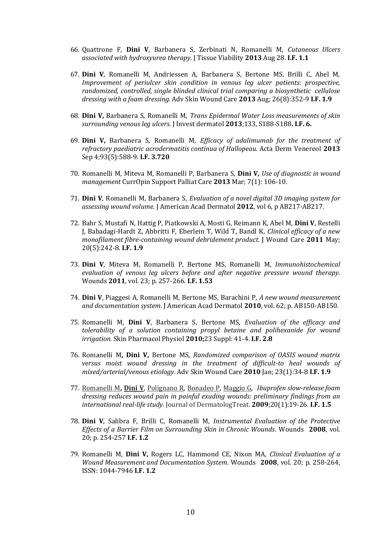- 66. Quattrone F, **Dini V**, Barbanera S, Zerbinati N, Romanelli M, *Cutaneous Ulcers associated with hydroxyurea therapy.* J Tissue Viability **2013** Aug 28. **I.F. 1.1**
- 67. **Dini V**, Romanelli M, Andriessen A, Barbanera S, Bertone MS, Brilli C, Abel M, *Improvement of periulcer skin condition in venous leg ulcer patients: prospective, randomized, controlled, single blinded clinical trial comparing a biosynthetic cellulose dressing with a foam dressing.* Adv Skin Wound Care **2013** Aug; 26(8):352-9 **I.F. 1.9**
- 68. **Dini V,** Barbanera S, Romanelli M, *Trans Epidermal Water Loss measurements of skin surrounding venous leg ulcers*. J Invest dermatol **2013**;133, S188-S188**. I.F. 6.**
- 69. **Dini V,** Barbanera S, Romanelli M, *Efficacy of adalimumab for the treatment of refractory paediatric acrodermatitis continua of Hallopeau.* Acta Derm Venereol **2013** Sep 4;93(5):588-9. **I.F. 3.720**
- 70. Romanelli M, Miteva M, Romanelli P, Barbanera S, **Dini V,** *Use of diagnostic in wound management* CurrOpin Support Palliat Care **2013** Mar; 7(1): 106-10.
- 71. **Dini V**, Romanelli M, Barbanera S, *Evaluation of a novel digital 3D imaging system for assessing wound volume.* J American Acad Dermatol **2012**, vol 6, p AB217-AB217.
- 72. Bahr S, Mustafi N, Hattig P, Piatkowski A, Mosti G, Reimann K, Abel M, **Dini V**, Restelli J, Babadagi-Hardt Z, Abbritti F, Eberlein T, Wild T, Bandl K, *Clinical efficacy of a new monofilament fibre-containing wound debridement product.* J Wound Care **2011** May; 20(5):242-8. **I.F. 1.9**
- 73. **Dini V**, Miteva M, Romanelli P, Bertone MS, Romanelli M, *Immunohistochemical evaluation of venous leg ulcers before and after negative pressure wound therapy.*  Wounds **2011**, vol. 23; p. 257-266. **I.F. 1.53**
- 74. **Dini V**, Piaggesi A, Romanelli M, Bertone MS, Barachini P, *A new wound measurement and documentation system*. J American Acad Dermatol **2010**, vol. 62; p. AB150-AB150.
- 75. Romanelli M, **Dini V**, Barbanera S, Bertone MS, *Evaluation of the efficacy and tolerability of a solution containing propyl betaine and polihexanide for wound irrigation.* Skin Pharmacol Physiol **2010;**23 Suppl: 41-4. **I.F. 2.8**
- 76. Romanelli M**, Dini V,** Bertone MS, *Randomized comparison of OASIS wound matrix versus moist wound dressing in the treatment of difficult-to heal wounds of mixed/arterial/venous etiology*. Adv Skin Wound Care **2010** Jan; 23(1):34-8 **I.F. 1.9**
- 77. [Romanelli M](http://www.ncbi.nlm.nih.gov/pubmed?term=Romanelli%20M%5BAuthor%5D&cauthor=true&cauthor_uid=18622878)**, [Dini V](http://www.ncbi.nlm.nih.gov/pubmed?term=Dini%20V%5BAuthor%5D&cauthor=true&cauthor_uid=18622878)**, [Polignano R,](http://www.ncbi.nlm.nih.gov/pubmed?term=Polignano%20R%5BAuthor%5D&cauthor=true&cauthor_uid=18622878) [Bonadeo P,](http://www.ncbi.nlm.nih.gov/pubmed?term=Bonadeo%20P%5BAuthor%5D&cauthor=true&cauthor_uid=18622878) [Maggio G,](http://www.ncbi.nlm.nih.gov/pubmed?term=Maggio%20G%5BAuthor%5D&cauthor=true&cauthor_uid=18622878) *Ibuprofen slow-release foam dressing reduces wound pain in painful exuding wounds: preliminary findings from an international real-life study.* Journal of DermatologTreat. **2009**;20(1):19-26. **I.F. 1.5**
- 78. **Dini V**, Salibra F, Brilli C, Romanelli M, *Instrumental Evaluation of the Protective Effects of a Barrier Film on Surrounding Skin in Chronic Wounds*. Wounds **2008**, vol. 20; p. 254-257 **I.F. 1.2**
- 79. Romanelli M, **Dini V,** Rogers LC, Hammond CE, Nixon MA, *Clinical Evaluation of a Wound Measurement and Documentation System*. Wounds **2008**, vol. 20; p. 258-264, ISSN: 1044-7946 **I.F. 1.2**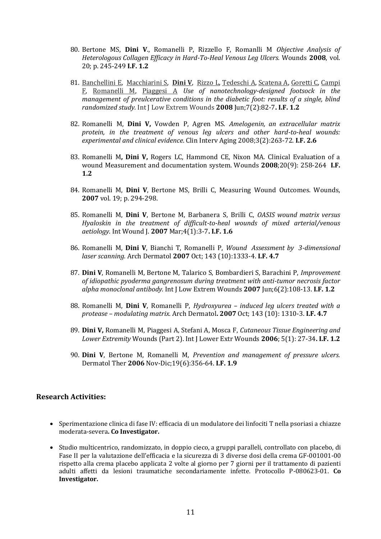- 80. Bertone MS, **Dini V**., Romanelli P, Rizzello F, Romanlli M *Objective Analysis of Heterologous Collagen Efficacy in Hard-To-Heal Venous Leg Ulcers.* Wounds **2008**, vol. 20; p. 245-249 **I.F. 1.2**
- 81. [Banchellini E,](http://www.ncbi.nlm.nih.gov/pubmed?term=Banchellini%20E%5BAuthor%5D&cauthor=true&cauthor_uid=18492675) [Macchiarini S,](http://www.ncbi.nlm.nih.gov/pubmed?term=Macchiarini%20S%5BAuthor%5D&cauthor=true&cauthor_uid=18492675) **[Dini V](http://www.ncbi.nlm.nih.gov/pubmed?term=Dini%20V%5BAuthor%5D&cauthor=true&cauthor_uid=18492675)**, [Rizzo L,](http://www.ncbi.nlm.nih.gov/pubmed?term=Rizzo%20L%5BAuthor%5D&cauthor=true&cauthor_uid=18492675) [Tedeschi A,](http://www.ncbi.nlm.nih.gov/pubmed?term=Tedeschi%20A%5BAuthor%5D&cauthor=true&cauthor_uid=18492675) [Scatena A,](http://www.ncbi.nlm.nih.gov/pubmed?term=Scatena%20A%5BAuthor%5D&cauthor=true&cauthor_uid=18492675) [Goretti C,](http://www.ncbi.nlm.nih.gov/pubmed?term=Goretti%20C%5BAuthor%5D&cauthor=true&cauthor_uid=18492675) [Campi](http://www.ncbi.nlm.nih.gov/pubmed?term=Campi%20F%5BAuthor%5D&cauthor=true&cauthor_uid=18492675)  [F,](http://www.ncbi.nlm.nih.gov/pubmed?term=Campi%20F%5BAuthor%5D&cauthor=true&cauthor_uid=18492675) [Romanelli M,](http://www.ncbi.nlm.nih.gov/pubmed?term=Romanelli%20M%5BAuthor%5D&cauthor=true&cauthor_uid=18492675) [Piaggesi A](http://www.ncbi.nlm.nih.gov/pubmed?term=Piaggesi%20A%5BAuthor%5D&cauthor=true&cauthor_uid=18492675) *Use of nanotechnology-designed footsock in the management of preulcerative conditions in the diabetic foot: results of a single, blind randomized study.* Int J Low Extrem Wounds **2008** Jun;7(2):82-7**. I.F. 1.2**
- 82. Romanelli M, **Dini V,** Vowden P, Agren MS. *Amelogenin, an extracellular matrix protein, in the treatment of venous leg ulcers and other hard-to-heal wounds: experimental and clinical evidence*. Clin Interv Aging 2008;3(2):263-72. **I.F. 2.6**
- 83. Romanelli M**, Dini V,** Rogers LC, Hammond CE, Nixon MA. Clinical Evaluation of a wound Measurement and documentation system. Wounds **2008**;20(9): 258-264 **I.F. 1.2**
- 84. Romanelli M, **Dini V**, Bertone MS, Brilli C, Measuring Wound Outcomes. Wounds, **2007** vol. 19; p. 294-298.
- 85. Romanelli M, **Dini V**, Bertone M, Barbanera S, Brilli C, *OASIS wound matrix versus Hyaloskin in the treatment of difficult-to-heal wounds of mixed arterial/venous aetiology.* Int Wound J. **2007** Mar;4(1):3-7**. I.F. 1.6**
- 86. Romanelli M, **Dini V**, Bianchi T, Romanelli P, *Wound Assessment by 3-dimensional laser scanning.* Arch Dermatol **2007** Oct; 143 (10):1333-4. **I.F. 4.7**
- 87. **Dini V**, Romanelli M, Bertone M, Talarico S, Bombardieri S, Barachini P, *Improvement of idiopathic pyoderma gangrenosum during treatment with anti-tumor necrosis factor alpha monoclonal antibody.* Int J Low Extrem Wounds **2007** Jun;6(2):108-13. **I.F. 1.2**
- 88. Romanelli M, **Dini V**, Romanelli P, *Hydroxyurea – induced leg ulcers treated with a protease – modulating matrix.* Arch Dermatol**. 2007** Oct; 143 (10): 1310-3. **I.F. 4.7**
- 89. **Dini V,** Romanelli M, Piaggesi A, Stefani A, Mosca F, *Cutaneous Tissue Engineering and Lower Extremity* Wounds (Part 2). Int J Lower Extr Wounds **2006**; 5(1): 27-34**. I.F. 1.2**
- 90. **Dini V**, Bertone M, Romanelli M, *Prevention and management of pressure ulcers.*  Dermatol Ther **2006** Nov-Dic;19(6):356-64. **I.F. 1.9**

#### **Research Activities:**

- Sperimentazione clinica di fase IV: efficacia di un modulatore dei linfociti T nella psoriasi a chiazze moderata-severa**. Co Investigator.**
- Studio multicentrico, randomizzato, in doppio cieco, a gruppi paralleli, controllato con placebo, di Fase II per la valutazione dell'efficacia e la sicurezza di 3 diverse dosi della crema GF-001001-00 rispetto alla crema placebo applicata 2 volte al giorno per 7 giorni per il trattamento di pazienti adulti affetti da lesioni traumatiche secondariamente infette. Protocollo P-080623-01. **Co Investigator.**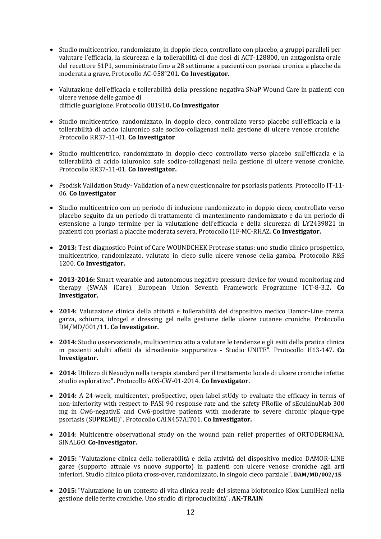- Studio multicentrico, randomizzato, in doppio cieco, controllato con placebo, a gruppi paralleli per valutare l'efficacia, la sicurezza e la tollerabilità di due dosi di ACT-128800, un antagonista orale del recettore S1P1, somministrato fino a 28 settimane a pazienti con psoriasi cronica a placche da moderata a grave. Protocollo AC-058°201. **Co Investigator.**
- Valutazione dell'efficacia e tollerabilità della pressione negativa SNaP Wound Care in pazienti con ulcere venose delle gambe di difficile guarigione. Protocollo 081910**. Co Investigator**
- Studio multicentrico, randomizzato, in doppio cieco, controllato verso placebo sull'efficacia e la tollerabilità di acido ialuronico sale sodico-collagenasi nella gestione di ulcere venose croniche. Protocollo RR37-11-01. **Co Investigator**
- Studio multicentrico, randomizzato in doppio cieco controllato verso placebo sull'efficacia e la tollerabilità di acido ialuronico sale sodico-collagenasi nella gestione di ulcere venose croniche. Protocollo RR37-11-01. **Co Investigator.**
- Psodisk Validation Study- Validation of a new questionnaire for psoriasis patients. Protocollo IT-11- 06. **Co Investigator**
- Studio multicentrico con un periodo di induzione randomizzato in doppio cieco, controllato verso placebo seguito da un periodo di trattamento di mantenimento randomizzato e da un periodo di estensione a lungo termine per la valutazione dell'efficacia e della sicurezza di LY2439821 in pazienti con psoriasi a placche moderata severa. Protocollo I1F-MC-RHAZ. **Co Investigator.**
- **2013:** Test diagnostico Point of Care WOUNDCHEK Protease status: uno studio clinico prospettico, multicentrico, randomizzato, valutato in cieco sulle ulcere venose della gamba. Protocollo R&S 1200. **Co Investigator.**
- **2013-2016:** Smart wearable and autonomous negative pressure device for wound monitoring and therapy (SWAN iCare). European Union Seventh Framework Programme ICT-8-3.2**. Co Investigator.**
- **2014:** Valutazione clinica della attività e tollerabilità del dispositivo medico Damor-Line crema, garza, schiuma, idrogel e dressing gel nella gestione delle ulcere cutanee croniche. Protocollo DM/MD/001/11**. Co Investigator.**
- **2014:** Studio osservazionale, multicentrico atto a valutare le tendenze e gli esiti della pratica clinica in pazienti adulti affetti da idroadenite suppurativa - Studio UNITE". Protocollo H13-147. **Co Investigator.**
- **2014:** Utilizzo di Nexodyn nella terapia standard per il trattamento locale di ulcere croniche infette: studio esplorativo". Protocollo AOS-CW-01-2014. **Co Investigator.**
- **2014:** A 24-week, multicenter, proSpective, open-label stUdy to evaluate the efficacy in terms of non-inferiority with respect to PASI 90 response rate and the safety PRofile of sEcukinuMab 300 mg in Cw6-negativE and Cw6-positive patients with moderate to severe chronic plaque-type psoriasis (SUPREME)". Protocollo CAIN457AIT01. **Co Investigator.**
- **2014**: Multicentre observational study on the wound pain relief properties of ORTODERMINA. SINALGO. **Co-Investigator.**
- **2015:** "Valutazione clinica della tollerabilità e della attività del dispositivo medico DAMOR-LINE garze (supporto attuale vs nuovo supporto) in pazienti con ulcere venose croniche agli arti inferiori. Studio clinico pilota cross-over, randomizzato, in singolo cieco parziale". **DAM/MD/002/15**
- **2015:**"Valutazione in un contesto di vita clinica reale del sistema biofotonico Klox LumiHeal nella gestione delle ferite croniche. Uno studio di riproducibilità". **AK-TRAIN**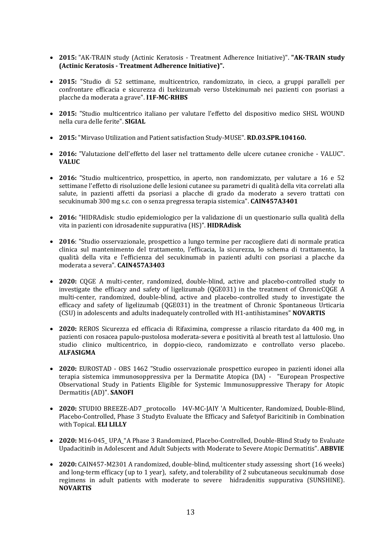- **2015:** "AK-TRAIN study (Actinic Keratosis Treatment Adherence Initiative)". **"AK-TRAIN study (Actinic Keratosis - Treatment Adherence Initiative)".**
- **2015:** "Studio di 52 settimane, multicentrico, randomizzato, in cieco, a gruppi paralleli per confrontare efficacia e sicurezza di Ixekizumab verso Ustekinumab nei pazienti con psoriasi a placche da moderata a grave". **I1F-MC-RHBS**
- **2015:** "Studio multicentrico italiano per valutare l'effetto del dispositivo medico SHSL WOUND nella cura delle ferite". **SIGIAL**
- **2015:** "Mirvaso Utilization and Patient satisfaction Study-MUSE". **RD.03.SPR.104160.**
- **2016:** "Valutazione dell'effetto del laser nel trattamento delle ulcere cutanee croniche VALUC". **VALUC**
- **2016:** "Studio multicentrico, prospettico, in aperto, non randomizzato, per valutare a 16 e 52 settimane l'effetto di risoluzione delle lesioni cutanee su parametri di qualità della vita correlati alla salute, in pazienti affetti da psoriasi a placche di grado da moderato a severo trattati con secukinumab 300 mg s.c. con o senza pregressa terapia sistemica". **CAIN457A3401**
- **2016:** "HIDRAdisk: studio epidemiologico per la validazione di un questionario sulla qualità della vita in pazienti con idrosadenite suppurativa (HS)". **HIDRAdisk**
- **2016**: "Studio osservazionale, prospettico a lungo termine per raccogliere dati di normale pratica clinica sul mantenimento del trattamento, l'efficacia, la sicurezza, lo schema di trattamento, la qualità della vita e l'efficienza del secukinumab in pazienti adulti con psoriasi a placche da moderata a severa". **CAIN457A3403**
- **2020:** CQGE A multi-center, randomized, double-blind, active and placebo-controlled study to investigate the efficacy and safety of ligelizumab (QGE031) in the treatment of ChronicCQGE A multi-center, randomized, double-blind, active and placebo-controlled study to investigate the efficacy and safety of ligelizumab (QGE031) in the treatment of Chronic Spontaneous Urticaria (CSU) in adolescents and adults inadequately controlled with H1-antihistamines" **NOVARTIS**
- **2020:** REROS Sicurezza ed efficacia di Rifaximina, compresse a rilascio ritardato da 400 mg, in pazienti con rosacea papulo-pustolosa moderata-severa e positività al breath test al lattulosio. Uno studio clinico multicentrico, in doppio-cieco, randomizzato e controllato verso placebo. **ALFASIGMA**
- **2020:** EUROSTAD OBS 1462 "Studio osservazionale prospettico europeo in pazienti idonei alla terapia sistemica immunosoppressiva per la Dermatite Atopica (DA) - "European Prospective Observational Study in Patients Eligible for Systemic Immunosuppressive Therapy for Atopic Dermatitis (AD)". **SANOFI**
- **2020:** STUDIO BREEZE-AD7 \_protocollo I4V-MC-JAIY 'A Multicenter, Randomized, Double-Blind, Placebo-Controlled, Phase 3 Studyto Evaluate the Efficacy and Safetyof Baricitinib in Combination with Topical. **ELI LILLY**
- **2020:** M16-045 UPA "A Phase 3 Randomized, Placebo-Controlled, Double-Blind Study to Evaluate Upadacitinib in Adolescent and Adult Subjects with Moderate to Severe Atopic Dermatitis". **ABBVIE**
- **2020:** CAIN457-M2301 A randomized, double-blind, multicenter study assessing short (16 weeks) and long-term efficacy (up to 1 year), safety, and tolerability of 2 subcutaneous secukinumab dose regimens in adult patients with moderate to severe hidradenitis suppurativa (SUNSHINE). **NOVARTIS**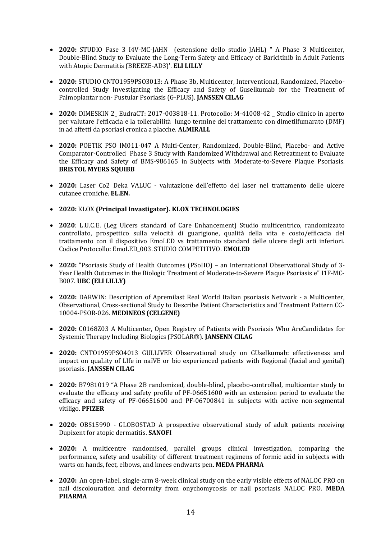- **2020:** STUDIO Fase 3 I4V-MC-JAHN (estensione dello studio JAHL) " A Phase 3 Multicenter, Double-Blind Study to Evaluate the Long-Term Safety and Efficacy of Baricitinib in Adult Patients with Atopic Dermatitis (BREEZE-AD3)'. **ELI LILLY**
- **2020:** STUDIO CNTO1959PSO3013: A Phase 3b, Multicenter, Interventional, Randomized, Placebocontrolled Study Investigating the Efficacy and Safety of Guselkumab for the Treatment of Palmoplantar non- Pustular Psoriasis (G-PLUS). **JANSSEN CILAG**
- **2020:** DIMESKIN 2\_ EudraCT: 2017-003818-11. Protocollo: M-41008-42 \_ Studio clinico in aperto per valutare l'efficacia e la tollerabilità lungo termine del trattamento con dimetilfumarato (DMF) in ad affetti da psoriasi cronica a placche. **ALMIRALL**
- **2020:** POETIK PSO IM011-047 A Multi-Center, Randomized, Double-Blind, Placebo- and Active Comparator-Controlled Phase 3 Study with Randomized Withdrawal and Retreatment to Evaluate the Efficacy and Safety of BMS-986165 in Subjects with Moderate-to-Severe Plaque Psoriasis. **BRISTOL MYERS SQUIBB**
- **2020:** Laser Co2 Deka VALUC valutazione dell'effetto del laser nel trattamento delle ulcere cutanee croniche. **EL.EN.**
- **2020:** KLOX **(Principal Invastigator). KLOX TECHNOLOGIES**
- **2020**: L.U.C.E. (Leg Ulcers standard of Care Enhancement) Studio multicentrico, randomizzato controllato, prospettico sulla velocità di guarigione, qualità della vita e costo/efficacia del trattamento con il dispositivo EmoLED vs trattamento standard delle ulcere degli arti inferiori. Codice Protocollo: EmoLED\_003. STUDIO COMPETITIVO. **EMOLED**
- **2020:** "Psoriasis Study of Health Outcomes (PSoHO) an International Observational Study of 3- Year Health Outcomes in the Biologic Treatment of Moderate-to-Severe Plaque Psoriasis e" I1F-MC-B007. **UBC (ELI LILLY)**
- **2020:** DARWIN: Description of Apremilast Real World Italian psoriasis Network a Multicenter, Observational, Cross-sectional Study to Describe Patient Characteristics and Treatment Pattern CC-10004-PSOR-026. **MEDINEOS (CELGENE)**
- **2020:** C0168Z03 A Multicenter, Open Registry of Patients with Psoriasis Who AreCandidates for Systemic Therapy Including Biologics (PSOLAR®). **JANSENN CILAG**
- **2020:** CNTO1959PSO4013 GULLIVER Observational study on GUselkumab: effectiveness and impact on quaLity of LIfe in naïVE or bio experienced patients with Regional (facial and genital) psoriasis. **JANSSEN CILAG**
- **2020:** B7981019 "A Phase 2B randomized, double-blind, placebo-controlled, multicenter study to evaluate the efficacy and safety profile of PF-06651600 with an extension period to evaluate the efficacy and safety of PF-06651600 and PF-06700841 in subjects with active non-segmental vitiligo. **PFIZER**
- **2020:** OBS15990 GLOBOSTAD A prospective observational study of adult patients receiving Dupixent for atopic dermatitis. **SANOFI**
- **2020:** A multicentre randomised, parallel groups clinical investigation, comparing the performance, safety and usability of different treatment regimens of formic acid in subjects with warts on hands, feet, elbows, and knees endwarts pen. **MEDA PHARMA**
- **2020:** An open-label, single-arm 8-week clinical study on the early visible effects of NALOC PRO on nail discolouration and deformity from onychomycosis or nail psoriasis NALOC PRO. **MEDA PHARMA**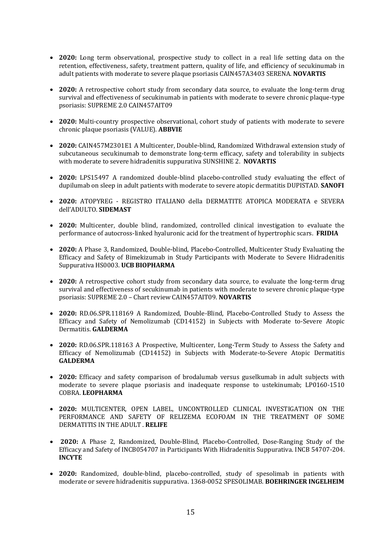- **2020:** Long term observational, prospective study to collect in a real life setting data on the retention, effectiveness, safety, treatment pattern, quality of life, and efficiency of secukinumab in adult patients with moderate to severe plaque psoriasis CAIN457A3403 SERENA. **NOVARTIS**
- **2020:** A retrospective cohort study from secondary data source, to evaluate the long-term drug survival and effectiveness of secukinumab in patients with moderate to severe chronic plaque-type psoriasis: SUPREME 2.0 CAIN457AIT09
- **2020:** Multi-country prospective observational, cohort study of patients with moderate to severe chronic plaque psoriasis (VALUE). **ABBVIE**
- **2020:** CAIN457M2301E1 A Multicenter, Double-blind, Randomized Withdrawal extension study of subcutaneous secukinumab to demonstrate long-term efficacy, safety and tolerability in subjects with moderate to severe hidradenitis suppurativa SUNSHINE 2. **NOVARTIS**
- **2020:** LPS15497 A randomized double-blind placebo-controlled study evaluating the effect of dupilumab on sleep in adult patients with moderate to severe atopic dermatitis DUPISTAD. **SANOFI**
- **2020:** ATOPYREG REGISTRO ITALIANO della DERMATITE ATOPICA MODERATA e SEVERA dell'ADULTO. **SIDEMAST**
- **2020:** Multicenter, double blind, randomized, controlled clinical investigation to evaluate the performance of autocross-linked hyaluronic acid for the treatment of hypertrophic scars. **FRIDIA**
- **2020:** A Phase 3, Randomized, Double-blind, Placebo-Controlled, Multicenter Study Evaluating the Efficacy and Safety of Bimekizumab in Study Participants with Moderate to Severe Hidradenitis Suppurativa HS0003. **UCB BIOPHARMA**
- **2020:** A retrospective cohort study from secondary data source, to evaluate the long-term drug survival and effectiveness of secukinumab in patients with moderate to severe chronic plaque-type psoriasis: SUPREME 2.0 – Chart review CAIN457AIT09. **NOVARTIS**
- **2020:** RD.06.SPR.118169 A Randomized, Double-Blind, Placebo-Controlled Study to Assess the Efficacy and Safety of Nemolizumab (CD14152) in Subjects with Moderate to-Severe Atopic Dermatitis. **GALDERMA**
- **2020:** RD.06.SPR.118163 A Prospective, Multicenter, Long-Term Study to Assess the Safety and Efficacy of Nemolizumab (CD14152) in Subjects with Moderate-to-Severe Atopic Dermatitis **GALDERMA**
- **2020:** Efficacy and safety comparison of brodalumab versus guselkumab in adult subjects with moderate to severe plaque psoriasis and inadequate response to ustekinumab; LP0160-1510 COBRA. **LEOPHARMA**
- **2020:** MULTICENTER, OPEN LABEL, UNCONTROLLED CLINICAL INVESTIGATION ON THE PERFORMANCE AND SAFETY OF RELIZEMA ECOFOAM IN THE TREATMENT OF SOME DERMATITIS IN THE ADULT . **RELIFE**
- **2020:** A Phase 2, Randomized, Double-Blind, Placebo-Controlled, Dose-Ranging Study of the Efficacy and Safety of INCB054707 in Participants With Hidradenitis Suppurativa. INCB 54707-204. **INCYTE**
- **2020:** Randomized, double-blind, placebo-controlled, study of spesolimab in patients with moderate or severe hidradenitis suppurativa. 1368-0052 SPESOLIMAB. **BOEHRINGER INGELHEIM**